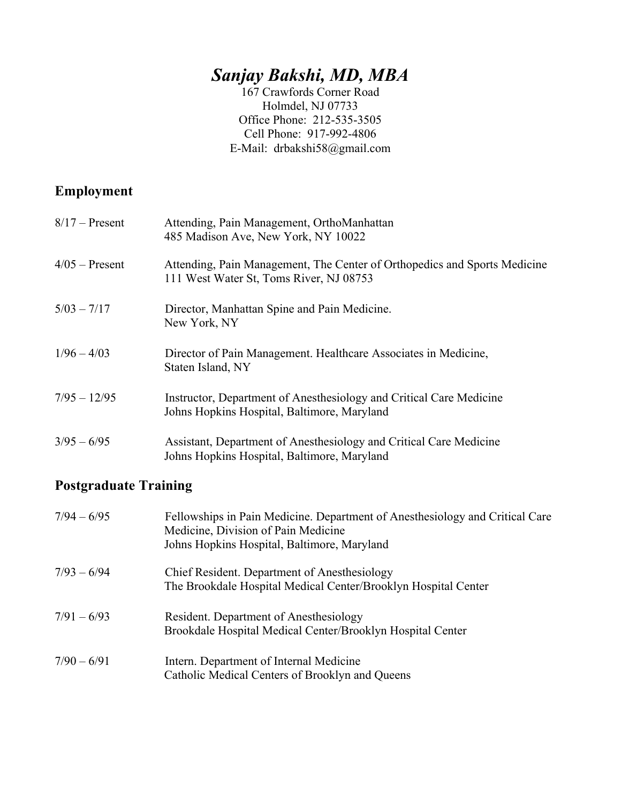# *Sanjay Bakshi, MD, MBA*

167 Crawfords Corner Road Holmdel, NJ 07733 Office Phone: 212-535-3505 Cell Phone: 917-992-4806 E-Mail: drbakshi58@gmail.com

## **Employment**

| $8/17$ – Present | Attending, Pain Management, OrthoManhattan<br>485 Madison Ave, New York, NY 10022                                    |
|------------------|----------------------------------------------------------------------------------------------------------------------|
| $4/05$ – Present | Attending, Pain Management, The Center of Orthopedics and Sports Medicine<br>111 West Water St, Toms River, NJ 08753 |
| $5/03 - 7/17$    | Director, Manhattan Spine and Pain Medicine.<br>New York, NY                                                         |
| $1/96 - 4/03$    | Director of Pain Management. Healthcare Associates in Medicine,<br>Staten Island, NY                                 |
| $7/95 - 12/95$   | Instructor, Department of Anesthesiology and Critical Care Medicine<br>Johns Hopkins Hospital, Baltimore, Maryland   |
| $3/95 - 6/95$    | Assistant, Department of Anesthesiology and Critical Care Medicine<br>Johns Hopkins Hospital, Baltimore, Maryland    |

## **Postgraduate Training**

| $7/94 - 6/95$ | Fellowships in Pain Medicine. Department of Anesthesiology and Critical Care<br>Medicine, Division of Pain Medicine<br>Johns Hopkins Hospital, Baltimore, Maryland |
|---------------|--------------------------------------------------------------------------------------------------------------------------------------------------------------------|
| $7/93 - 6/94$ | Chief Resident. Department of Anesthesiology<br>The Brookdale Hospital Medical Center/Brooklyn Hospital Center                                                     |
| $7/91 - 6/93$ | Resident. Department of Anesthesiology<br>Brookdale Hospital Medical Center/Brooklyn Hospital Center                                                               |
| $7/90 - 6/91$ | Intern. Department of Internal Medicine<br>Catholic Medical Centers of Brooklyn and Queens                                                                         |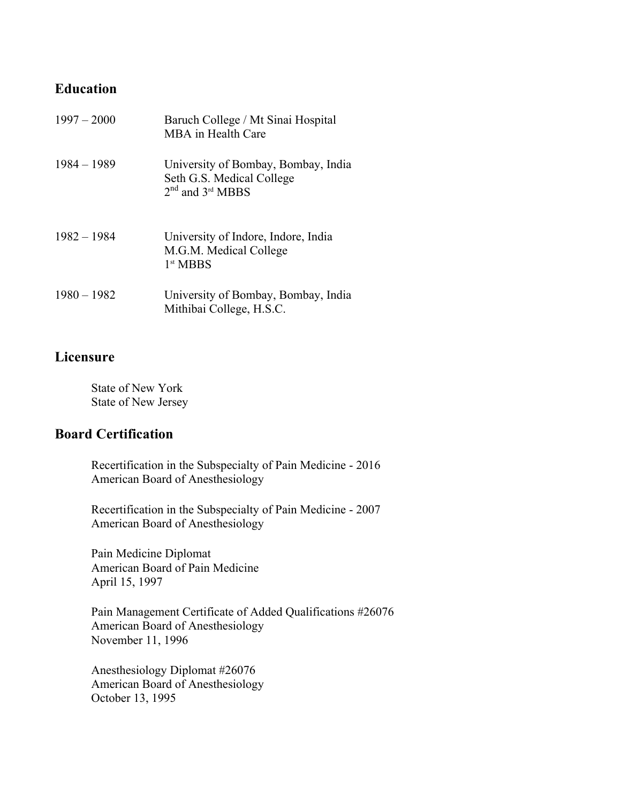### **Education**

| $1997 - 2000$ | Baruch College / Mt Sinai Hospital<br>MBA in Health Care                                 |
|---------------|------------------------------------------------------------------------------------------|
| $1984 - 1989$ | University of Bombay, Bombay, India<br>Seth G.S. Medical College<br>$2nd$ and $3rd$ MBBS |
| $1982 - 1984$ | University of Indore, Indore, India<br>M.G.M. Medical College<br>1 <sup>st</sup> MBBS    |
| $1980 - 1982$ | University of Bombay, Bombay, India<br>Mithibai College, H.S.C.                          |

## **Licensure**

State of New York State of New Jersey

## **Board Certification**

Recertification in the Subspecialty of Pain Medicine - 2016 American Board of Anesthesiology

Recertification in the Subspecialty of Pain Medicine - 2007 American Board of Anesthesiology

Pain Medicine Diplomat American Board of Pain Medicine April 15, 1997

Pain Management Certificate of Added Qualifications #26076 American Board of Anesthesiology November 11, 1996

Anesthesiology Diplomat #26076 American Board of Anesthesiology October 13, 1995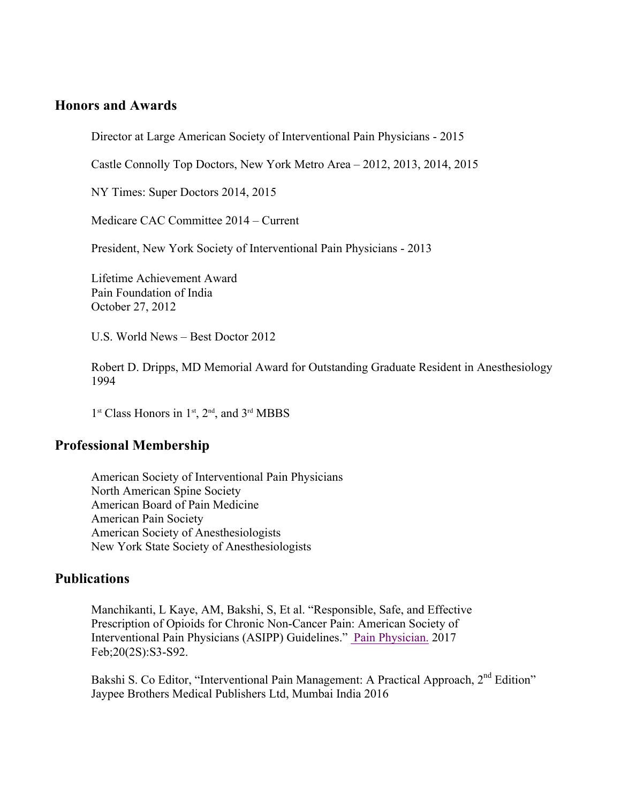## **Honors and Awards**

Director at Large American Society of Interventional Pain Physicians - 2015

Castle Connolly Top Doctors, New York Metro Area – 2012, 2013, 2014, 2015

NY Times: Super Doctors 2014, 2015

Medicare CAC Committee 2014 – Current

President, New York Society of Interventional Pain Physicians - 2013

Lifetime Achievement Award Pain Foundation of India October 27, 2012

U.S. World News – Best Doctor 2012

Robert D. Dripps, MD Memorial Award for Outstanding Graduate Resident in Anesthesiology 1994

1<sup>st</sup> Class Honors in 1<sup>st</sup>, 2<sup>nd</sup>, and 3<sup>rd</sup> MBBS

#### **Professional Membership**

American Society of Interventional Pain Physicians North American Spine Society American Board of Pain Medicine American Pain Society American Society of Anesthesiologists New York State Society of Anesthesiologists

#### **Publications**

Manchikanti, L Kaye, AM, Bakshi, S, Et al. "Responsible, Safe, and Effective Prescription of Opioids for Chronic Non-Cancer Pain: American Society of Interventional Pain Physicians (ASIPP) Guidelines." Pain Physician. 2017 Feb;20(2S):S3-S92.

Bakshi S. Co Editor, "Interventional Pain Management: A Practical Approach, 2<sup>nd</sup> Edition" Jaypee Brothers Medical Publishers Ltd, Mumbai India 2016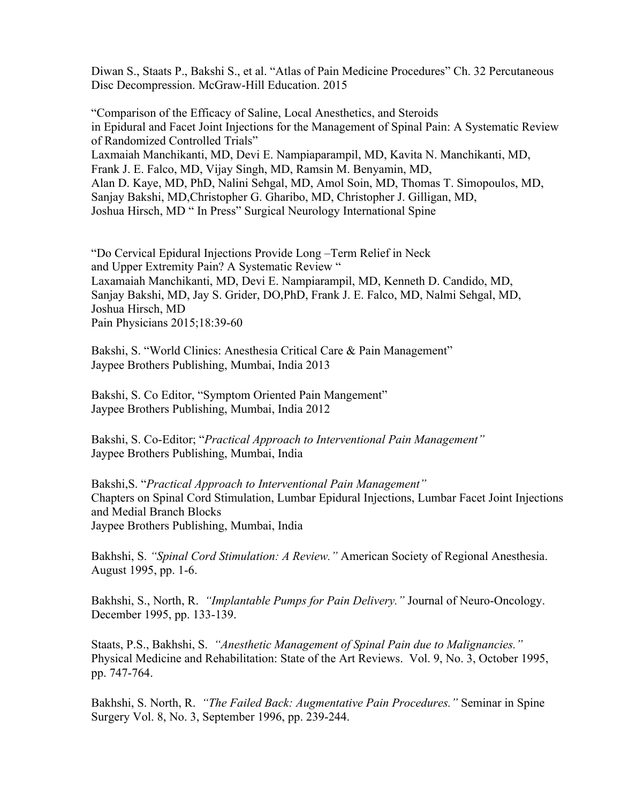Diwan S., Staats P., Bakshi S., et al. "Atlas of Pain Medicine Procedures" Ch. 32 Percutaneous Disc Decompression. McGraw-Hill Education. 2015

"Comparison of the Efficacy of Saline, Local Anesthetics, and Steroids in Epidural and Facet Joint Injections for the Management of Spinal Pain: A Systematic Review of Randomized Controlled Trials" Laxmaiah Manchikanti, MD, Devi E. Nampiaparampil, MD, Kavita N. Manchikanti, MD, Frank J. E. Falco, MD, Vijay Singh, MD, Ramsin M. Benyamin, MD, Alan D. Kaye, MD, PhD, Nalini Sehgal, MD, Amol Soin, MD, Thomas T. Simopoulos, MD, Sanjay Bakshi, MD,Christopher G. Gharibo, MD, Christopher J. Gilligan, MD, Joshua Hirsch, MD " In Press" Surgical Neurology International Spine

"Do Cervical Epidural Injections Provide Long –Term Relief in Neck and Upper Extremity Pain? A Systematic Review " Laxamaiah Manchikanti, MD, Devi E. Nampiarampil, MD, Kenneth D. Candido, MD, Sanjay Bakshi, MD, Jay S. Grider, DO,PhD, Frank J. E. Falco, MD, Nalmi Sehgal, MD, Joshua Hirsch, MD Pain Physicians 2015;18:39-60

Bakshi, S. "World Clinics: Anesthesia Critical Care & Pain Management" Jaypee Brothers Publishing, Mumbai, India 2013

Bakshi, S. Co Editor, "Symptom Oriented Pain Mangement" Jaypee Brothers Publishing, Mumbai, India 2012

Bakshi, S. Co-Editor; "*Practical Approach to Interventional Pain Management"* Jaypee Brothers Publishing, Mumbai, India

Bakshi,S. "*Practical Approach to Interventional Pain Management"* Chapters on Spinal Cord Stimulation, Lumbar Epidural Injections, Lumbar Facet Joint Injections and Medial Branch Blocks Jaypee Brothers Publishing, Mumbai, India

Bakhshi, S. *"Spinal Cord Stimulation: A Review."* American Society of Regional Anesthesia. August 1995, pp. 1-6.

Bakhshi, S., North, R. *"Implantable Pumps for Pain Delivery."* Journal of Neuro-Oncology. December 1995, pp. 133-139.

Staats, P.S., Bakhshi, S. *"Anesthetic Management of Spinal Pain due to Malignancies."* Physical Medicine and Rehabilitation: State of the Art Reviews. Vol. 9, No. 3, October 1995, pp. 747-764.

Bakhshi, S. North, R. *"The Failed Back: Augmentative Pain Procedures."* Seminar in Spine Surgery Vol. 8, No. 3, September 1996, pp. 239-244.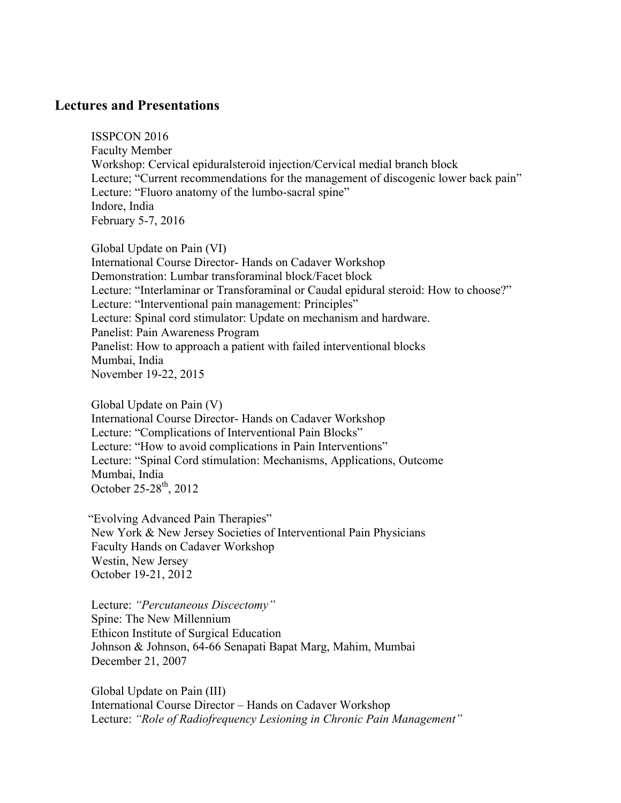#### **Lectures and Presentations**

ISSPCON 2016 Faculty Member Workshop: Cervical epiduralsteroid injection/Cervical medial branch block Lecture; "Current recommendations for the management of discogenic lower back pain" Lecture: "Fluoro anatomy of the lumbo-sacral spine" Indore, India February 5-7, 2016

Global Update on Pain (VI) International Course Director- Hands on Cadaver Workshop Demonstration: Lumbar transforaminal block/Facet block Lecture: "Interlaminar or Transforaminal or Caudal epidural steroid: How to choose?" Lecture: "Interventional pain management: Principles" Lecture: Spinal cord stimulator: Update on mechanism and hardware. Panelist: Pain Awareness Program Panelist: How to approach a patient with failed interventional blocks Mumbai, India November 19-22, 2015

Global Update on Pain (V)

International Course Director- Hands on Cadaver Workshop Lecture: "Complications of Interventional Pain Blocks" Lecture: "How to avoid complications in Pain Interventions" Lecture: "Spinal Cord stimulation: Mechanisms, Applications, Outcome Mumbai, India October 25-28<sup>th</sup>, 2012

 "Evolving Advanced Pain Therapies" New York & New Jersey Societies of Interventional Pain Physicians Faculty Hands on Cadaver Workshop Westin, New Jersey October 19-21, 2012

Lecture: *"Percutaneous Discectomy"* Spine: The New Millennium Ethicon Institute of Surgical Education Johnson & Johnson, 64-66 Senapati Bapat Marg, Mahim, Mumbai December 21, 2007

Global Update on Pain (III) International Course Director – Hands on Cadaver Workshop Lecture: *"Role of Radiofrequency Lesioning in Chronic Pain Management"*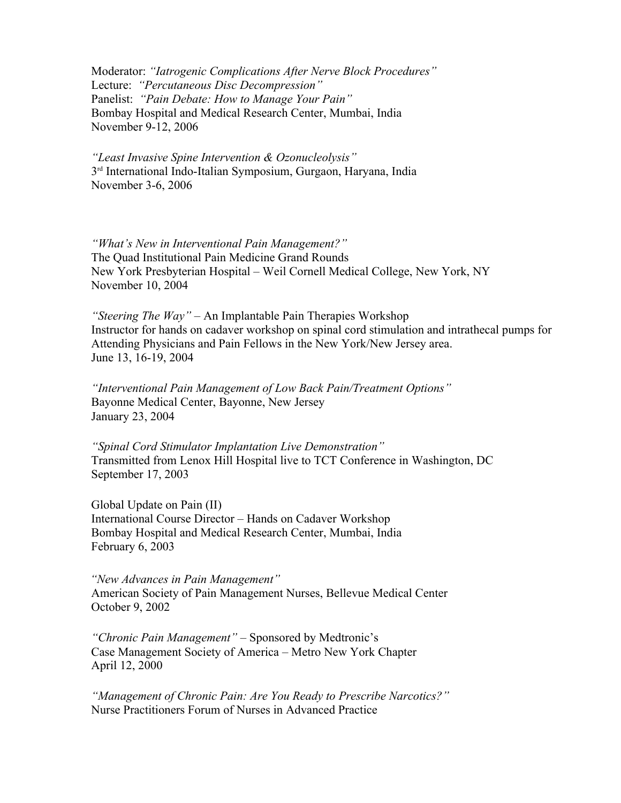Moderator: *"Iatrogenic Complications After Nerve Block Procedures"* Lecture: *"Percutaneous Disc Decompression"* Panelist: *"Pain Debate: How to Manage Your Pain"* Bombay Hospital and Medical Research Center, Mumbai, India November 9-12, 2006

*"Least Invasive Spine Intervention & Ozonucleolysis"* 3rd International Indo-Italian Symposium, Gurgaon, Haryana, India November 3-6, 2006

*"What's New in Interventional Pain Management?"* The Quad Institutional Pain Medicine Grand Rounds New York Presbyterian Hospital – Weil Cornell Medical College, New York, NY November 10, 2004

*"Steering The Way"* – An Implantable Pain Therapies Workshop Instructor for hands on cadaver workshop on spinal cord stimulation and intrathecal pumps for Attending Physicians and Pain Fellows in the New York/New Jersey area. June 13, 16-19, 2004

*"Interventional Pain Management of Low Back Pain/Treatment Options"* Bayonne Medical Center, Bayonne, New Jersey January 23, 2004

*"Spinal Cord Stimulator Implantation Live Demonstration"* Transmitted from Lenox Hill Hospital live to TCT Conference in Washington, DC September 17, 2003

Global Update on Pain (II) International Course Director – Hands on Cadaver Workshop Bombay Hospital and Medical Research Center, Mumbai, India February 6, 2003

*"New Advances in Pain Management"* American Society of Pain Management Nurses, Bellevue Medical Center October 9, 2002

*"Chronic Pain Management" –* Sponsored by Medtronic's Case Management Society of America – Metro New York Chapter April 12, 2000

*"Management of Chronic Pain: Are You Ready to Prescribe Narcotics?"* Nurse Practitioners Forum of Nurses in Advanced Practice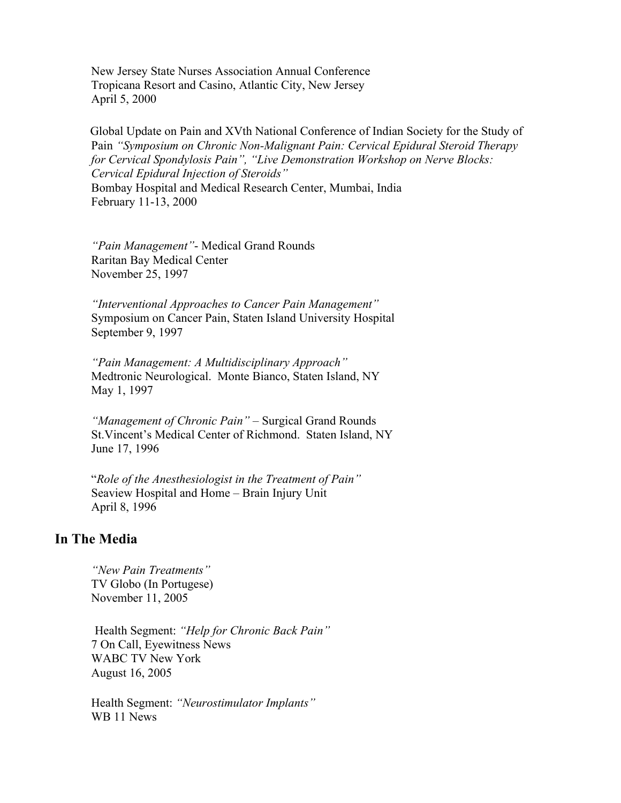New Jersey State Nurses Association Annual Conference Tropicana Resort and Casino, Atlantic City, New Jersey April 5, 2000

Global Update on Pain and XVth National Conference of Indian Society for the Study of Pain *"Symposium on Chronic Non-Malignant Pain: Cervical Epidural Steroid Therapy for Cervical Spondylosis Pain", "Live Demonstration Workshop on Nerve Blocks: Cervical Epidural Injection of Steroids"* Bombay Hospital and Medical Research Center, Mumbai, India February 11-13, 2000

*"Pain Management"*- Medical Grand Rounds Raritan Bay Medical Center November 25, 1997

*"Interventional Approaches to Cancer Pain Management"* Symposium on Cancer Pain, Staten Island University Hospital September 9, 1997

*"Pain Management: A Multidisciplinary Approach"* Medtronic Neurological. Monte Bianco, Staten Island, NY May 1, 1997

*"Management of Chronic Pain" –* Surgical Grand Rounds St.Vincent's Medical Center of Richmond. Staten Island, NY June 17, 1996

"*Role of the Anesthesiologist in the Treatment of Pain"* Seaview Hospital and Home – Brain Injury Unit April 8, 1996

#### **In The Media**

*"New Pain Treatments"* TV Globo (In Portugese) November 11, 2005

Health Segment: *"Help for Chronic Back Pain"*  7 On Call, Eyewitness News WABC TV New York August 16, 2005

Health Segment: *"Neurostimulator Implants"* WB 11 News